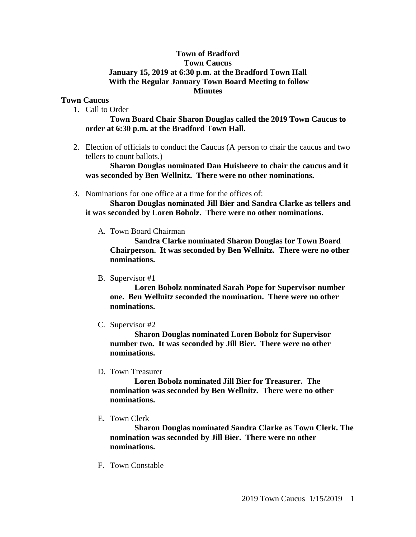## **Town of Bradford Town Caucus January 15, 2019 at 6:30 p.m. at the Bradford Town Hall With the Regular January Town Board Meeting to follow Minutes**

## **Town Caucus**

1. Call to Order

**Town Board Chair Sharon Douglas called the 2019 Town Caucus to order at 6:30 p.m. at the Bradford Town Hall.**

2. Election of officials to conduct the Caucus (A person to chair the caucus and two tellers to count ballots.)

**Sharon Douglas nominated Dan Huisheere to chair the caucus and it was seconded by Ben Wellnitz. There were no other nominations.**

3. Nominations for one office at a time for the offices of:

**Sharon Douglas nominated Jill Bier and Sandra Clarke as tellers and it was seconded by Loren Bobolz. There were no other nominations.**

A. Town Board Chairman

**Sandra Clarke nominated Sharon Douglas for Town Board Chairperson. It was seconded by Ben Wellnitz. There were no other nominations.**

B. Supervisor #1

**Loren Bobolz nominated Sarah Pope for Supervisor number one. Ben Wellnitz seconded the nomination. There were no other nominations.**

C. Supervisor #2

**Sharon Douglas nominated Loren Bobolz for Supervisor number two. It was seconded by Jill Bier. There were no other nominations.**

D. Town Treasurer

**Loren Bobolz nominated Jill Bier for Treasurer. The nomination was seconded by Ben Wellnitz. There were no other nominations.**

E. Town Clerk

**Sharon Douglas nominated Sandra Clarke as Town Clerk. The nomination was seconded by Jill Bier. There were no other nominations.**

F. Town Constable